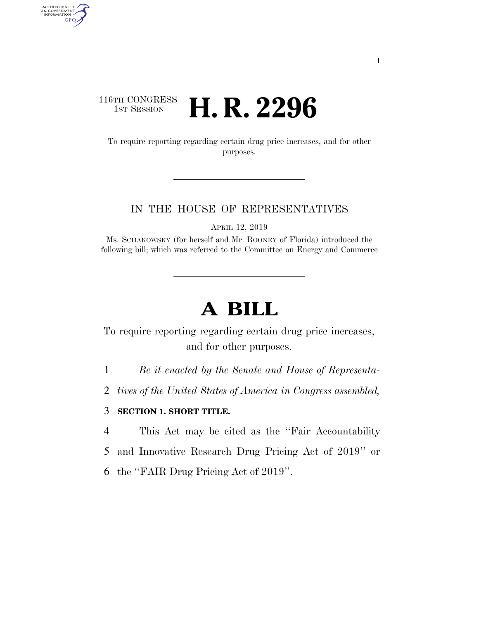# 116TH CONGRESS<br>1st Session H. R. 2296

AUTHENTICATED<br>U.S. GOVERNMENT<br>INFORMATION GPO

> To require reporting regarding certain drug price increases, and for other purposes.

#### IN THE HOUSE OF REPRESENTATIVES

APRIL 12, 2019

Ms. SCHAKOWSKY (for herself and Mr. ROONEY of Florida) introduced the following bill; which was referred to the Committee on Energy and Commerce

# **A BILL**

To require reporting regarding certain drug price increases, and for other purposes.

1 *Be it enacted by the Senate and House of Representa-*

2 *tives of the United States of America in Congress assembled,* 

#### 3 **SECTION 1. SHORT TITLE.**

4 This Act may be cited as the ''Fair Accountability

5 and Innovative Research Drug Pricing Act of 2019'' or

6 the ''FAIR Drug Pricing Act of 2019''.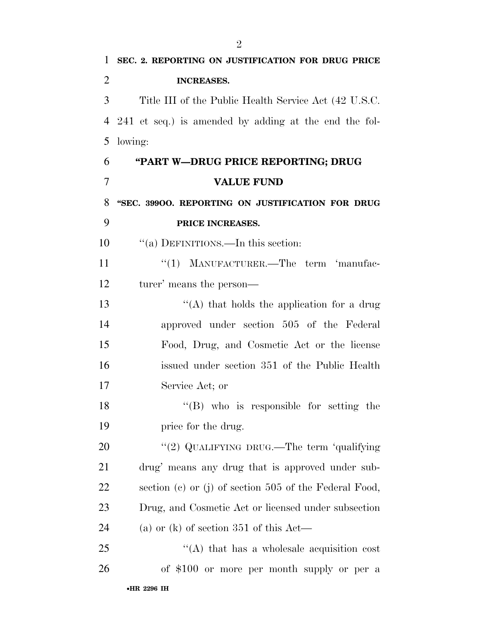**SEC. 2. REPORTING ON JUSTIFICATION FOR DRUG PRICE INCREASES.**  Title III of the Public Health Service Act (42 U.S.C. 241 et seq.) is amended by adding at the end the fol- lowing: **''PART W—DRUG PRICE REPORTING; DRUG VALUE FUND ''SEC. 399OO. REPORTING ON JUSTIFICATION FOR DRUG PRICE INCREASES.**  10 "(a) DEFINITIONS.—In this section: 11 "(1) MANUFACTURER.—The term 'manufac- turer' means the person— 13 ''(A) that holds the application for a drug approved under section 505 of the Federal Food, Drug, and Cosmetic Act or the license issued under section 351 of the Public Health Service Act; or ''(B) who is responsible for setting the 19 price for the drug. 20 "(2) QUALIFYING DRUG.—The term 'qualifying drug' means any drug that is approved under sub- section (c) or (j) of section 505 of the Federal Food, Drug, and Cosmetic Act or licensed under subsection (a) or (k) of section 351 of this Act—  $\qquad$   $\qquad$   $\qquad$   $\qquad$   $\qquad$   $\qquad$   $\qquad$   $\qquad$   $\qquad$   $\qquad$   $\qquad$   $\qquad$   $\qquad$   $\qquad$   $\qquad$   $\qquad$   $\qquad$   $\qquad$   $\qquad$   $\qquad$   $\qquad$   $\qquad$   $\qquad$   $\qquad$   $\qquad$   $\qquad$   $\qquad$   $\qquad$   $\qquad$   $\qquad$   $\qquad$   $\qquad$   $\qquad$   $\qquad$   $\qquad$   $\qquad$  of \$100 or more per month supply or per a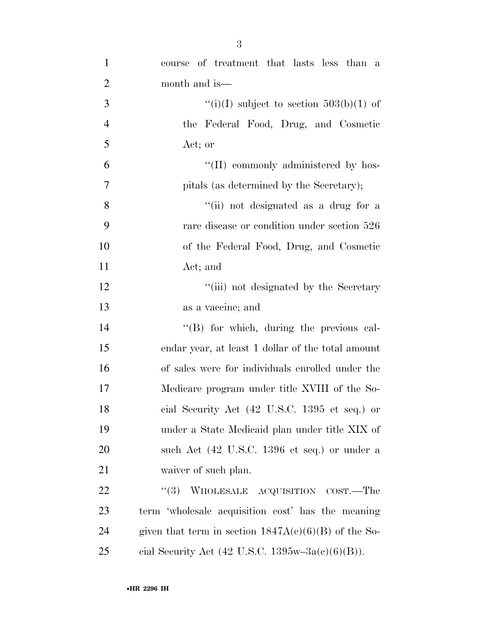| $\mathbf{1}$   | course of treatment that lasts less than a             |
|----------------|--------------------------------------------------------|
| $\overline{2}$ | month and is—                                          |
| 3              | "(i)(I) subject to section $503(b)(1)$ of              |
| $\overline{4}$ | the Federal Food, Drug, and Cosmetic                   |
| 5              | Act; or                                                |
| 6              | "(II) commonly administered by hos-                    |
| 7              | pitals (as determined by the Secretary);               |
| 8              | "(ii) not designated as a drug for a                   |
| 9              | rare disease or condition under section 526            |
| 10             | of the Federal Food, Drug, and Cosmetic                |
| 11             | Act; and                                               |
| 12             | "(iii) not designated by the Secretary                 |
| 13             | as a vaccine; and                                      |
| 14             | "(B) for which, during the previous cal-               |
| 15             | endar year, at least 1 dollar of the total amount      |
| 16             | of sales were for individuals enrolled under the       |
| 17             | Medicare program under title XVIII of the So-          |
| 18             | cial Security Act (42 U.S.C. 1395 et seq.) or          |
| 19             | under a State Medicaid plan under title XIX of         |
| 20             | such Act (42 U.S.C. 1396 et seq.) or under a           |
| 21             | waiver of such plan.                                   |
| 22             | "(3) WHOLESALE ACQUISITION COST.—The                   |
| 23             | term 'wholesale acquisition cost' has the meaning      |
| 24             | given that term in section $1847A(c)(6)(B)$ of the So- |
| 25             | cial Security Act (42 U.S.C. 1395w-3a(c)(6)(B)).       |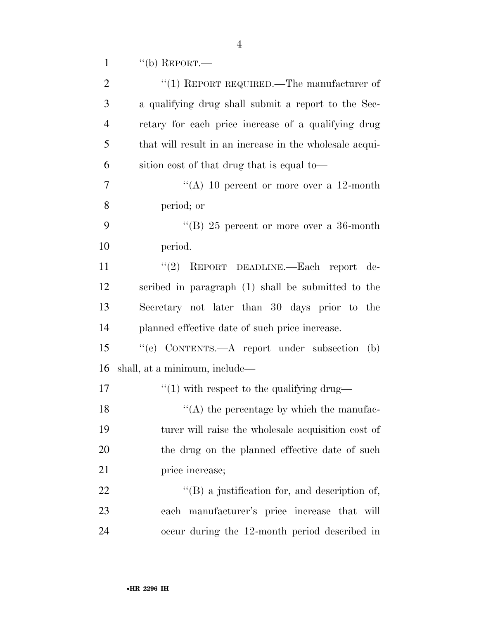1  $"$ (b) REPORT.—

| $\mathbf{2}$   | "(1) REPORT REQUIRED.—The manufacturer of               |
|----------------|---------------------------------------------------------|
| 3              | a qualifying drug shall submit a report to the Sec-     |
| $\overline{4}$ | retary for each price increase of a qualifying drug     |
| 5              | that will result in an increase in the wholesale acqui- |
| 6              | sition cost of that drug that is equal to—              |
| 7              | "(A) 10 percent or more over a 12-month                 |
| 8              | period; or                                              |
| 9              | "(B) 25 percent or more over a 36-month                 |
| 10             | period.                                                 |
| 11             | "(2) REPORT DEADLINE.—Each report de-                   |
| 12             | scribed in paragraph (1) shall be submitted to the      |
| 13             | Secretary not later than 30 days prior to the           |
| 14             | planned effective date of such price increase.          |
| 15             | "(c) CONTENTS.—A report under subsection<br>(b)         |
| 16             | shall, at a minimum, include—                           |
| 17             | " $(1)$ with respect to the qualifying drug—            |
| 18             | $\lq\lq$ the percentage by which the manufac-           |
| 19             | turer will raise the wholesale acquisition cost of      |
| 20             | the drug on the planned effective date of such          |
| 21             | price increase;                                         |
| 22             | $\lq\lq$ (B) a justification for, and description of,   |
| 23             | each manufacturer's price increase that will            |
| 24             | occur during the 12-month period described in           |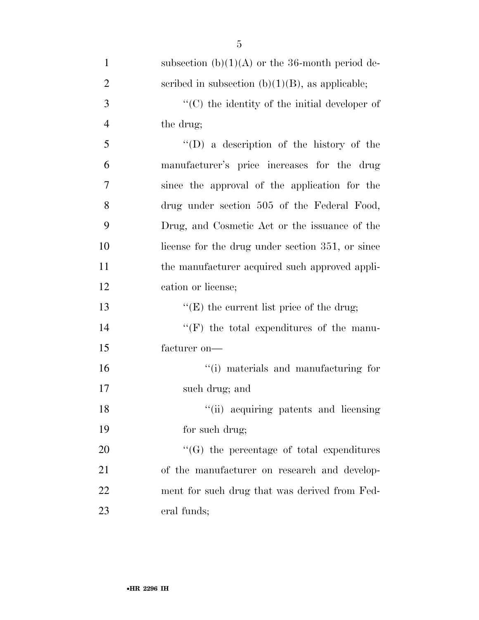| $\mathbf{1}$   | subsection $(b)(1)(A)$ or the 36-month period de-     |
|----------------|-------------------------------------------------------|
| $\overline{2}$ | scribed in subsection $(b)(1)(B)$ , as applicable;    |
| 3              | $\lq\lq$ (C) the identity of the initial developer of |
| $\overline{4}$ | the drug;                                             |
| 5              | "(D) a description of the history of the              |
| 6              | manufacturer's price increases for the drug           |
| 7              | since the approval of the application for the         |
| 8              | drug under section 505 of the Federal Food,           |
| 9              | Drug, and Cosmetic Act or the issuance of the         |
| 10             | license for the drug under section 351, or since      |
| 11             | the manufacturer acquired such approved appli-        |
| 12             | cation or license;                                    |
| 13             | $\lq\lq$ (E) the current list price of the drug;      |
| 14             | $\lq\lq(F)$ the total expenditures of the manu-       |
| 15             | facturer on-                                          |
| 16             | "(i) materials and manufacturing for                  |
| 17             | such drug; and                                        |
| 18             | "(ii) acquiring patents and licensing                 |
| 19             | for such drug;                                        |
| 20             | $\lq\lq(G)$ the percentage of total expenditures      |
| 21             | of the manufacturer on research and develop-          |
| 22             | ment for such drug that was derived from Fed-         |
| 23             | eral funds;                                           |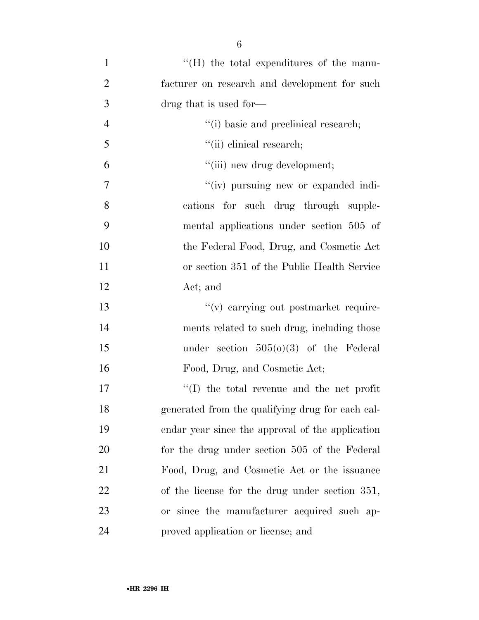| $\mathbf{1}$   | "(H) the total expenditures of the manu-         |
|----------------|--------------------------------------------------|
| $\overline{2}$ | facturer on research and development for such    |
| 3              | drug that is used for—                           |
| $\overline{4}$ | "(i) basic and preclinical research;             |
| 5              | "(ii) clinical research;                         |
| 6              | "(iii) new drug development;                     |
| $\tau$         | "(iv) pursuing new or expanded indi-             |
| 8              | cations for such drug through supple-            |
| 9              | mental applications under section 505 of         |
| 10             | the Federal Food, Drug, and Cosmetic Act         |
| 11             | or section 351 of the Public Health Service      |
| 12             | Act; and                                         |
| 13             | "(v) carrying out postmarket require-            |
| 14             | ments related to such drug, including those      |
| 15             | under section $505(0)(3)$ of the Federal         |
| 16             | Food, Drug, and Cosmetic Act;                    |
| 17             | "(I) the total revenue and the net profit        |
| 18             | generated from the qualifying drug for each cal- |
| 19             | endar year since the approval of the application |
| <b>20</b>      | for the drug under section 505 of the Federal    |
| 21             | Food, Drug, and Cosmetic Act or the issuance     |
| 22             | of the license for the drug under section 351,   |
| 23             | or since the manufacturer acquired such ap-      |
| 24             | proved application or license; and               |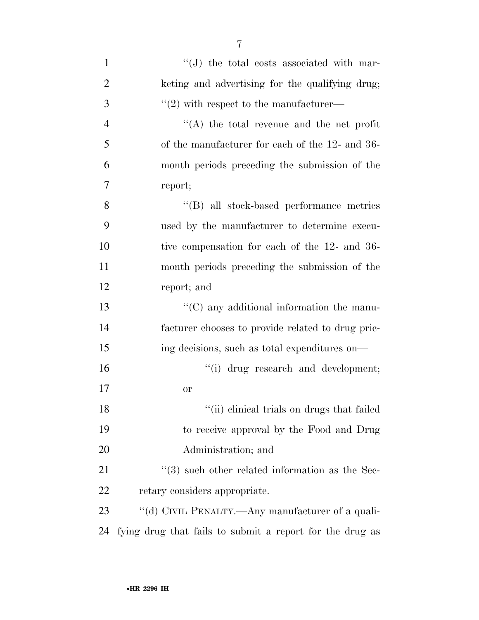| $\mathbf{1}$   | "(J) the total costs associated with mar-                       |
|----------------|-----------------------------------------------------------------|
| $\overline{2}$ | keting and advertising for the qualifying drug;                 |
| 3              | $\cdot\cdot(2)$ with respect to the manufacturer—               |
| $\overline{4}$ | "(A) the total revenue and the net profit                       |
| 5              | of the manufacturer for each of the 12- and 36-                 |
| 6              | month periods preceding the submission of the                   |
| 7              | report;                                                         |
| 8              | "(B) all stock-based performance metrics                        |
| 9              | used by the manufacturer to determine execu-                    |
| 10             | tive compensation for each of the 12- and 36-                   |
| 11             | month periods preceding the submission of the                   |
| 12             | report; and                                                     |
| 13             | $\lq\lq$ (C) any additional information the manu-               |
| 14             | facturer chooses to provide related to drug pric-               |
| 15             | ing decisions, such as total expenditures on—                   |
| 16             | "(i) drug research and development;                             |
| 17             | <sub>or</sub>                                                   |
| 18             | "(ii) clinical trials on drugs that failed                      |
| 19             | to receive approval by the Food and Drug                        |
| 20             | Administration; and                                             |
| 21             | $\cdot\cdot\cdot(3)$ such other related information as the Sec- |
| 22             | retary considers appropriate.                                   |
| 23             | "(d) CIVIL PENALTY.—Any manufacturer of a quali-                |
| 24             | fying drug that fails to submit a report for the drug as        |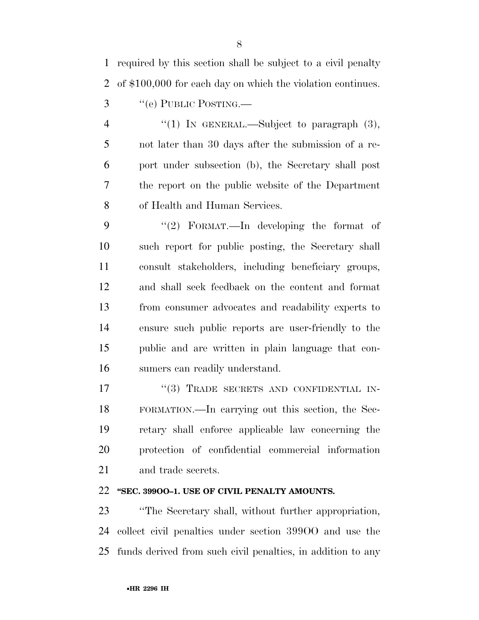required by this section shall be subject to a civil penalty of \$100,000 for each day on which the violation continues.

3 "(e) PUBLIC POSTING.—

4 "(1) In GENERAL.—Subject to paragraph (3), not later than 30 days after the submission of a re- port under subsection (b), the Secretary shall post the report on the public website of the Department of Health and Human Services.

9 "(2) FORMAT.—In developing the format of such report for public posting, the Secretary shall consult stakeholders, including beneficiary groups, and shall seek feedback on the content and format from consumer advocates and readability experts to ensure such public reports are user-friendly to the public and are written in plain language that con-sumers can readily understand.

17 "(3) TRADE SECRETS AND CONFIDENTIAL IN- FORMATION.—In carrying out this section, the Sec- retary shall enforce applicable law concerning the protection of confidential commercial information and trade secrets.

## **''SEC. 399OO–1. USE OF CIVIL PENALTY AMOUNTS.**

 ''The Secretary shall, without further appropriation, collect civil penalties under section 399OO and use the funds derived from such civil penalties, in addition to any